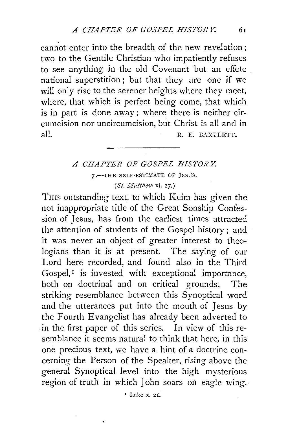cannot enter into the breadth of the new revelation; two to the Gentile Christian who impatiently refuses to see anything in the old Covenant but an effete national superstition; but that they are one if we will only rise to the serener heights where they meet, where, that which is perfect being come, that which is in part is done away; where there is neither circumcision nor uncircumcision, but Christ is all and in all. R. E. BARTLETT,

## *A CHAPTER OF GOSPEL HISTORY:*  7.--THE SELF-ESTIMATE OF JESUS. *(St. Matthew* xi. 27.)

THIS outstanding text, to which Keim has given the not inappropriate title of the Great Sonship Confession of Jesus, has from the earliest times attracted the attention of students of the Gospel history ; and it was never an object of greater interest to theologians than it is at present. The saying of our Lord here recorded, and found also in the Third Gospel, $<sup>I</sup>$  is invested with exceptional importance,</sup> both on doctrinal and on critical grounds. The striking resemblance between this Synoptical word and the utterances put into the mouth of Jesus by the Fourth Evangelist has already been adverted to in the first paper of this series. In view of this resemblance it seems natural to think that here, in this one precious text, we have a hint of a doctrine concerning the Person of the Speaker, rising above the general Synoptical level into the high mysterious region of truth in which John soars on eagle wing.

<sup>•</sup> Luke x. 21.

 $\bullet$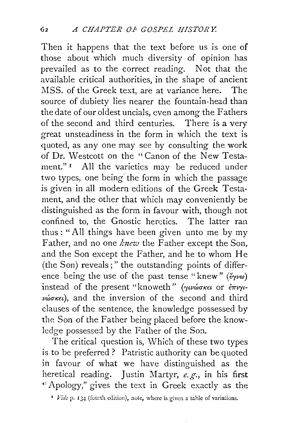Then it happens that the text before us is one of those about which much diversity of opinion has prevailed as to the correct reading. Not that the available critical authorities, in the shape of ancient MSS. of the Greek text, are at variance here. The source of dubiety lies nearer the fountain-head than the date of our oldest uncials, even among the Fathers of the second and third centuries. There is a very great unsteadiness in the form in which the text is quoted, as any one may see by consulting the work of Dr. Westcott on the " Canon of the New Testament."<sup>1</sup> All the varieties may be reduced under two types, one being the form in which the passage is given in all modern editions of the Greek Testament, and the other that which may conveniently be distinguished as the form in favour with, though not confined to, the Gnostic heretics. The latter ran thus : "All things have been given unto me by my Father, and no one knew the Father except the Son, .and the Son except the Father, and he to whom He (the Son) reveals;" the outstanding points of differ ence being the use of the past tense "knew" *(ëquo)* instead of the present "knoweth" *(γινώσκει* or *έπιγιvώσκει*), and the inversion of the second and third clauses of the sentence, the knowledge possessed by the Son of the Father being placed before the knowledge possessed by the Father of the Son.

The critical question is, Which of these two types is to be preferred? Patristic authority can be quoted in favour of what we have distinguished as the heretical reading. Justin Martyr, *e.g.,* in his first ·"Apology," gives the text in Greek exactly as the

<sup>1</sup> *Vide* p. 134 (fourth edition), note, where is given a table of variations.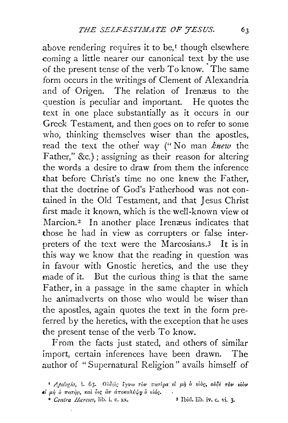above rendering requires it to be,<sup>*r*</sup> though elsewhere coming a little nearer our canonical text by the use of the present tense of the verb To know. The same form occurs in the writings of Clement of Alexandria and of Origen. The relation of Irenæus to the question is peculiar and important. He quotes the text in one place substantially as it occurs in our Greek Testament, and then goes on to refer to some who, thinking themselves wiser than the apostles, read the text the other way (" No man *knew* the Father," &c.); assigning as their reason for altering the words a desire to draw from them the inference that before Christ's time no one knew the Father, that the doctrine of God's Fatherhood was not contained in the Old Testament, and that Jesus Christ first made it known, which is the well-known view ot Marcion.<sup>2</sup> In another place Irenæus indicates that those he had in view as corrupters or false interpreters of the text were the Marcosians.3 It is in this way we know that the reading in question was in favour with Gnostic heretics, and the use they made of it. But the curious thing is that the same Father, in a passage in the same chapter in which he animadverts on those who would be wiser than the apostles, again quotes the text in the form preferred by the heretics, with the exception that he uses the present tense of the verb To know.

From the facts just stated, and others of similar import, certain inferences have been drawn. The author of "Supernatural Religion" avails himself of

**<sup>&</sup>lt;sup>1</sup>** *Apologia*, *i.* 63. Ουδείς έγνω τον πατέρα εί μή ο vioc, ουδέ τον viov  $\epsilon$ <sup>*i*</sup> μή *ρ πατήρ*, και δις αν αποκαλύψη ο *vióc.* 

<sup>&</sup>lt;sup>3</sup> *Contra Hareses*, lib. i. c. xx. 3 Ibid. lib. iv. c. vi. 3.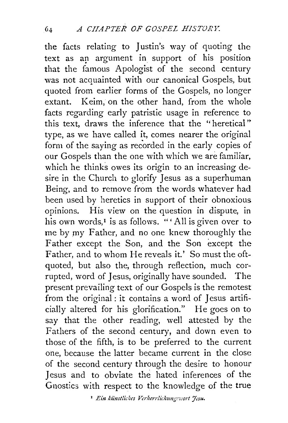the facts relating to Justin's way of quoting the text as an argument in support of his position that the famous Apologist of the second century was not acquainted with our canonical Gospels, but quoted from earlier forms of the Gospels, no longer extant. Keim, on the other hand, from the whole facts regarding early patristic usage in reference to this text, draws the inference that the "heretical" type, as we have called it, comes nearer the original form of the saying as recorded in the early copies of our Gospels than the one with which we are familiar, which he thinks owes its origin to an increasing desire in the Church to glorify Jesus as a superhuman Being, and to remove from the words whatever had been used by heretics in support of their obnoxious opinions. His view on the question in dispute, in his own words,<sup>1</sup> is as follows. "'All is given over to me by my Father, and no one knew thoroughly the Father except the Son, and the Son except the Father, and to whom He reveals it.' So must the oftquoted, but also the, through reflection, much corrupted, word of Jesus, originally have sounded. The present prevailing text of our Gospels is the remotest from the original : it contains a word of Jesus artificially altered for his glorification." He goes on to say that the other reading, well attested by the Fathers of the second century, and down even to those of the fifth, is to be preferred to the current one, because the latter became current in the close of the second century through the desire to honour Jesus and to obviate the hated inferences of the Gnostics with respect to the knowledge of the true

<sup>1</sup> Ein künstliches Verherrlichungswort Jesu.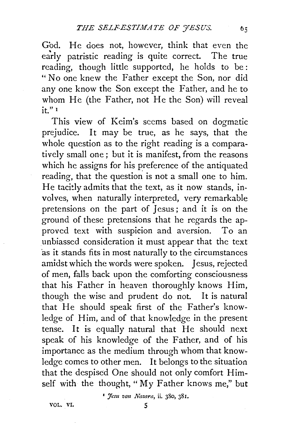God. He does not, however, think that even the early patristic reading is quite correct. The true reading, though little supported, he holds to be : "No one knew the Father except the Son, nor did any one know the Son except the Father, and he to whom He (the Father, not He the Son) will reveal it." <sup>I</sup>

This view of Keim's seems based on dogmatic prejudice. It may be true, as he says, that the whole question as to the right reading is a comparatively small one; but it is manifest, from the reasons which he assigns for his preference of the antiquated reading, that the question is not a small one to him. He tacitly admits that the text, as it now stands, involves, when naturally interpreted, very remarkable pretensions on the part of Jesus ; and it is on the ground of these pretensions that he regards the approved text with suspicion and aversion. To an unbiassed consideration it must appear that the text 'as it stands fits in most naturally to the circumstances amidst which the words were spoken. Jesus, rejected of men, falls back upon the comforting consciousness that his Father in heaven thoroughly knows Him, though the wise and prudent do not. It is natural that He should speak first of the Father's knowledge of Him, and of that knowledge in the present tense. It is equally natural that He should next speak of his knowledge of the Father, and of his importance as the medium through whom that knowledge comes to other men. It belongs to the situation that the despised One should not only comfort Himself with the thought, "My Father knows me," but

<sup>1</sup> Jesu von *Nazara*, ii. 380, 381.

vol. vi. 5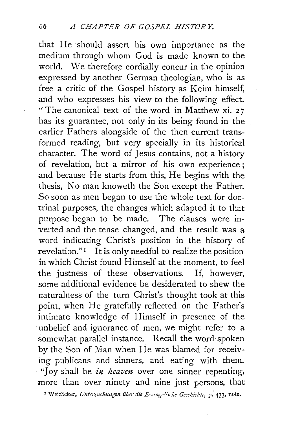that He should assert his own importance as the medium through whom God is made known to the world. We therefore cordially concur in the opinion expressed by another German theologian, who is as free a critic of the Gospel history as Keim himself, and who expresses his view to the following effect. " The canonical text of the word in Matthew xi. 27 has its guarantee, not only in its being found in the earlier Fathers alongside of the then current transformed reading, but very specially in its historical character. The word of Jesus contains, not a history of revelation, but a mirror of his own experience ; and because He starts from this, He begins with the thesis, No man knoweth the Son except the Father. So soon as men began to use the whole text for doctrinal purposes, the changes which adapted it to that purpose began to be made. The clauses were inverted and the tense changed, and the result was a word indicating Christ's position in the history of revelation." $\mathbf{I}$  It is only needful to realize the position in which Christ found Himself at the moment, to feel the justness of these observations. If, however, some additional evidence be desiderated to shew the naturalness of the turn Christ's thought took at this point, when He gratefully reflected on the Father's intimate knowledge of Himself in presence of the unbelief and ignorance of men, we might refer to a somewhat parallel instance. Recall the word-spoken by the Son of Man when He was blamed for receiving publicans and sinners, and eating with them. *"]* oy shall be *in heavm* over one sinner repenting, more than over ninety and nine just persons, that

' \Veiziicker, *Untersuchzmgen iibcr die Evangc!ische Geschichte,* p. 433, note.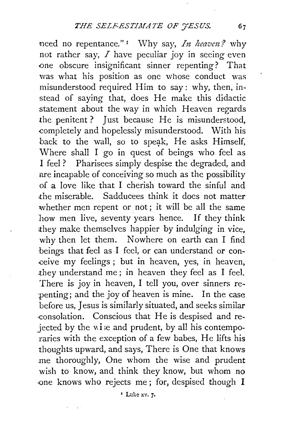need no repentance."<sup>1</sup> Why say, *In heaven*? why not rather say,  $I$  have peculiar joy in seeing even one obscure insignificant sinner repenting? That was what his position as one whose conduct was misunderstood required Him to say: why, then, instead of saying that, does He make this didactic statement about the way in which Heaven regards the penitent ? Just because He is misunderstood, completely and hopelessly misunderstood. With his back to the wall, so to speak, He asks Himself, Where shall I go in quest of beings who feel as I feel ? Pharisees simply despise the degraded, and are incapable of conceiving so much as the possibility of a love like that I cherish toward the sinful and :the miserable. Sadducees think it does not matter whether men repent or not; it will be all the same how men live, seventy years hence. If they think they make themselves happier by indulging in vice, why then let them. Nowhere on earth can I find beings that feel as I feel, or can understand or conceive my feelings ; but in heaven, yes, in heaven, .they understand me ; in heaven they feel as I feel. There is joy in heaven, I tell you, over sinners repenting; and the joy of heaven is mine. In the case before us, Jesus is similarly situated, and seeks similar ·consolation. Conscious that He is despised and rejected by the  $vi.e$  and prudent, by all his contemporaries with the exception of a few babes, He lifts his thoughts upward, and says, There is One that knows me thoroughly, One whom the wise and prudent wish to know, and think they know, but whom no -one knows who rejects me ; for, despised though I

• Luke xv. *7·*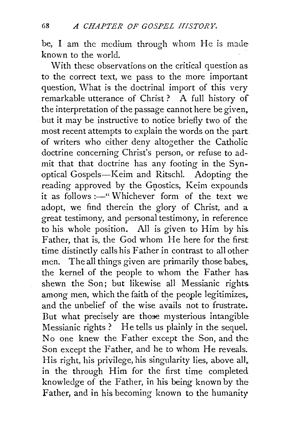be, I am the medium through whom He is made known to the world.

With these observations on the critical question as. to the correct text, we pass to the more important question, What is the doctrinal import of this very remarkable utterance of Christ ? A full history of the interpretation of the passage cannot here be given. but it may be instructive to notice briefly two of the most recent attempts to explain the words on the part of writers who either deny altogether the Catholic. doctrine concerning Christ's person, or refuse to admit that that doctrine has any footing in the Synoptical Gospels-Keim and Ritschl. Adopting the reading approved by the Gnostics, Keim expounds it as follows :- "Whichever form of the text we adopt, we find therein the glory of Christ, and a great testimony, and personal testimony, in reference to his whole position. All is given to Him by his. Father, that is, the God whom He here for the first time distinctly calls his Father in contrast to all other men. The all things given are primarily those babes,. the kernel of the people to whom the Father has. shewn the Son; but likewise all Messianic rights. among men, which the faith of the people legitimizes. and the unbelief of the wise avails not to frustrate. But what precisely are those mysterious intangible Messianic rights? He tells us plainly in the sequel. No one knew the Father except the Son, and the Son except the Father, and he to whom He reveals. His right, his privilege, his singularity lies, above all, in the through Him for the first time completed knowledge of the Father, in his being known by the Father, and in his becoming known to the humanity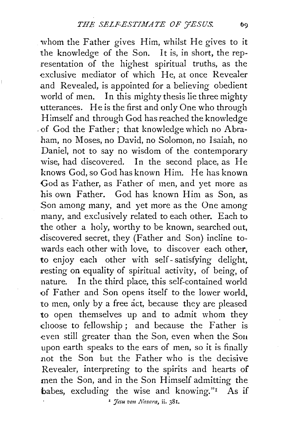whom the Father gives Him, whilst He gives to it the knowledge of the Son. It is, in short, the representation of the highest spiritual truths, as the exclusive mediator of which He, at once Revealer .and Revealed, is appointed for a believing obedient world of men. In this mighty thesis lie three mighty utterances. He is the first and only One who through Himself and through God has reached the knowledge of God the Father; that knowledge which no Abraham, no Moses, no David, no Solomon, no Isaiah, no Daniel, not to say no wisdom of the contemporary wise, had discovered. In the second place, as He knows God, so God has known Him. He has known God as Father, as Father of men, and yet more as his own Father. God has known Him as Son, as Son among many, and yet more as the One among many, and exclusively related to each other. Each to the other a holy, worthy to be known, searched out, discovered secret, they (Father and Son) incline towards each other with love, to discover each other, to enjoy each other with self- satisfying delight, resting on equality of spiritual activity, of being, of nature. In the third place, this self-contained world of Father and Son opens itself to the lower world, to men, only by a free act, because they are pleased to open themselves up and to admit whom they choose to fellowship; and because the Father is even still greater than the Son, even when the Sou upon earth speaks to the ears of men, so it is finally not the Son but the Father who is the decisive Revealer, interpreting to the spirits and hearts of men the Son, and in the Son Himself admitting the babes, excluding the wise and knowing." $\text{As}$  if <sup>*z</sup> Jesu von Nazara*, *ii.* 381.</sup>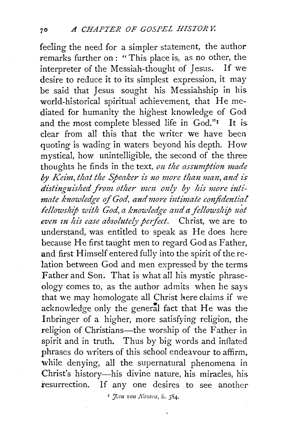feeling the need for a simpler statement, the author remarks further on : "This place is, as no other, the interpreter of the Messiah-thought of Iesus. If we interpreter of the Messiah-thought of Jesus. desire to reduce it to its simplest expression, it may be said that Jesus sought his Messiahship in his world-historical spiritual achievement, that He mediated for humanity the highest knowledge of God and the most complete blessed life in  $God."$  It is clear from all this that the writer we have been quoting is wading in waters beyond his depth. How mystical, how unintelligible, the second of the three thoughts he finds in the text, on the assumption made by *Keim*, that the Speaker is no more than man, and is distinguished from other men only by his more intimate knowledge of God, and more intimate confidential fellowship with God, a knowledge and a fellowship not even in his case absolutely perfect. Christ, we are to understand, was entitled to speak as He does here because He first taught men to regard God as Father, and first Himself entered fully into the spirit of the relation between God and men expressed by the terms Father and Son. That is what all his mystic phraseology comes to, as the author admits when he says that we may homologate all Christ here claims if we acknowledge only the general fact that He was the Inbringer of a higher, more satisfying religion, the religion of Christians-the worship of the Father in spirit and in truth. Thus by big words and inflated phrases do writers of this school endeavour to affirm, while denying, all the supernatural phenomena in Christ's history-his divine nature, his miracles, his resurrection. If any one desires to see another

<sup>1</sup> 7:su von Nazara, ii. 384,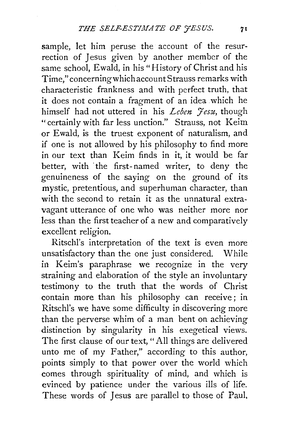sample, let him peruse the account of the resurrection of Jesus given by another member of the same school, Ewald, in his "History of Christ and his Time," concerningwhichaccountStrauss remarks with characteristic frankness and with perfect truth, that it does not contain a fragment of an idea which he himself had not uttered in his *Leben 'Fesu*, though "certainly with far less unction." Strauss, not Keim or Ewald, is the truest exponent of naturalism, and if one is not allowed by his philosophy to find more in our text than Keim finds in it, it would be far better, with the first-named writer, to deny the genuineness of the saying on the ground of its mystic, pretentious, and superhuman character, than with the second to retain it as the unnatural extravagant utterance of one who was neither more nor less than the first teacher of a new and comparatively excellent religion.

Ritschl's interpretation of the text is even more unsatisfactory than the one just considered. While in Keim's paraphrase we recognize in the very straining and elaboration of the style an involuntary testimony to the truth that the words of Christ contain more than his philosophy can receive; in Ritschl's we have some difficulty in discovering more than the perverse whim of a man bent on achieving distinction by singularity in his exegetical views. The first clause of our text, "All things are delivered unto me of my Father," according to this author, points simply to that power over the world which comes through spirituality of mind, and which is evinced by patience under the various ills of life. These words of Jesus are parallel to those of Paul,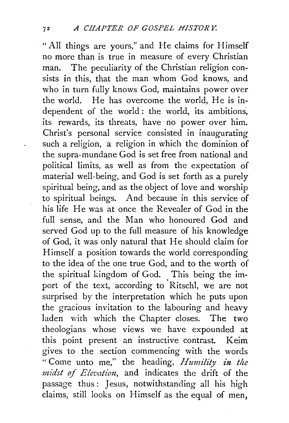" All things are yours," and He claims for Himself no more than is true in measure of every Christian man. The peculiarity of the Christian religion consists in this, that the man whom God knows, and who in turn fully knows God, maintains power over the world. He has overcome the world, He is independent of the world: the world, its ambitions, its rewards, its threats, have no power over him. Christ's personal service consisted in inaugurating such a religion, a religion in which the dominion of the supra-mundane God is set free from national and political limits, as well as from the expectation of material well-being, and God is set forth as a purely spiritual being, and as the object of love and worship to spiritual beings. And because in this service of his life He was at once the Revealer of God in the full sense, and the Man who honoured God and served God up to the full measure of his knowledge of God, it was only natural that He should claim for Himself a position towards the world corresponding to the idea of the one true God, and to the worth of the spiritual kingdom of God. This being the import of the text, according to Ritschl, we are not surprised by the interpretation which he puts upon the gracious invitation to the labouring and heavy laden with which the Chapter closes. The two theologians whose views we have expounded at this point present an instructive contrast. Keim gives to the section commencing with the words " Come unto me," the heading, *Huinility in the*  midst of Elevation, and indicates the drift of the passage thus : Jesus, notwithstanding all his high claims, still looks on Himself as the equal of men,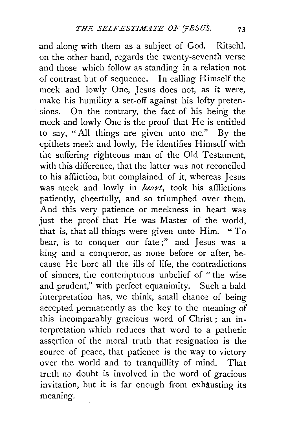and along with them as a subject of God. Ritschl, on the other hand, regards the twenty-seventh verse and those which follow as standing in a relation not of contrast but of sequence. In calling Himself the meek and lowly One, Jesus does not, as it were, make his humility a set-off against his lofty pretensions. On the contrary, the fact of his being the meek and lowly One is the proof that He is entitled to say, "All things are given unto me." By the epithets meek and lowly, He identifies Himself with the suffering righteous man of the Old Testament, with this difference, that the latter was not reconciled to his affliction, but complained of it, whereas Jesus was meek and lowly in *heart,* took his afflictions patiently, cheerfully, and so triumphed over them. And this very patience or meekness in heart was just the proof that He was Master of the world, that is, that all things were given unto Him. "To bear, is to conquer our fate;" and Jesus was a king and a conqueror, as none before or after, because He bore all the ills of life, the contradictions of sinners, the contemptuous unbelief of " the wise and prudent," with perfect equanimity. Such a bald interpretation has, we think, small chance of being aecepted permanently as the key to the meaning of this incomparably gracious word of Christ ; an interpretation which reduces that word to a pathetic assertion of the moral truth that resignation is the source of peace, that patience is the way to victory over the world and to tranquillity of mind. That truth no doubt is involved in the word of gracious invitation, but it is far enough from exhausting its meaning.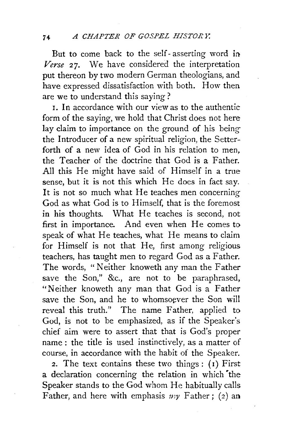But to come back to the self- asserting word in *Verse* 27. We have considered the interpretation put thereon by two modern German theologians, and have expressed dissatisfaction with both. How then are we to understand this saying ?

I. In accordance with our view as to the authentic form of the saying, we hold that Christ does not here lay claim to importance on the ground of his beingthe Introducer of a new spiritual religion, the Setterforth of a new idea of God in his relation to men, the Teacher of the doctrine that God is a Father. All this He might have said of Himself in a true sense, but it is not this which He does in fact say. It is not so much what He teaches men concerning God as what God is to Himself, that is the foremost in his thoughts. What He teaches is second, not first in importance. And even when He comes to speak of what He teaches, what He means to claim for Himself is not that He, first among religious teachers, has taught men to regard God as a Father. The words, " Neither knoweth any man the Father save the Son," &c., are not to be paraphrased, "Neither knoweth any man that God is a Father save the Son, and he to whomsoever the Son will reveal this truth." The name Father, applied to God, is not to be emphasized, as if the Speaker's chief aim were to assert that that is God's proper name : the title is used instinctively, as a matter of course, in accordance with the habit of the Speaker.

2. The text contains these two things :  $(1)$  First a declaration concerning the relation in which the Speaker stands to the God whom He habitually calis Father, and here with emphasis  $n y$  Father; (2) an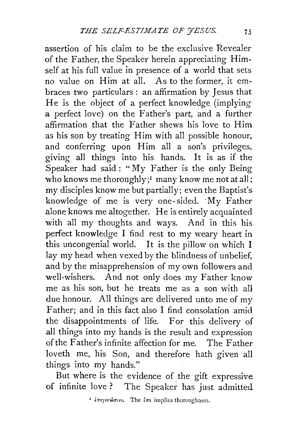assertion of his claim to be the exclusive Revealer of the Father, the Speaker herein appreciating Himself at his full value in presence of a world that sets no value on Him at all. As to the former, it embraces two particulars : an affirmation by Jesus that He is the object of a perfect knowledge (implying a perfect love) on the Father's part, and a further affirmation that the Father shews his love to Him as his son by treating Him with all possible honour, and conferring upon Him all a son's privileges, giving all things into his hands. It is as if the Speaker had said: "My Father is the only Being who knows me thoroughly;<sup>1</sup> many know me not at all; my disciples know me but partially; even the Baptist's knowledge of me is very one-sided. My Father alone knows me altogether. He is entirely acquainted with all my thoughts and ways. And in this his perfect knowledge I find rest to my weary heart in this uncongenial world. It is the pillow on which I lay my head when vexed by the blindness of unbelief, and by the misapprehension of my own followers and well-wishers. And not only does my Father know me as his son, but he treats me as a son with all due honour. All things are delivered unto me of my Father; and in this fact also I find consolation amid the disappointments of life. For this delivery of all things into my hands is the result and expression of the Father's infinite affection for me. The Father loveth me, his Son, and therefore hath given all things into my hands."

But where is the evidence of the gift expressive of infinite love? The Speaker has just admitted

<sup>1</sup> *επιγινώσεει.* The *επι* implies thoroughness.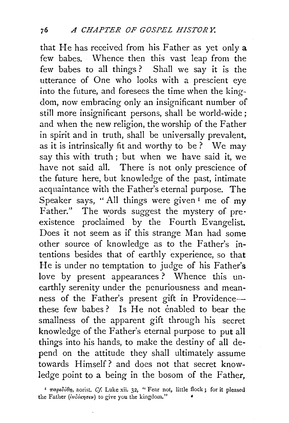that He has received from his Father as yet only a few babes. Whence then this vast leap from the few babes to all things ? Shall we say it is the utterance of One who looks with a prescient eye into the future, and foresees the time when the kingdom, now embracing only an insignificant number of still more insignificant persons, shall be world-wide ; and when the new religion, the worship of the Father in spirit and in truth, shall be universally prevalent, as it is intrinsically fit and worthy to be ? We may say this with truth; but when we have said it, we have not said all. There is not only prescience of the future here, but knowledge of the past, intimate acquaintance with the Father's eternal purpose. The Speaker says, "All things were given<sup> $I$ </sup> me of my Father." The words suggest the mystery of preexistence proclaimed by the Fourth Evangelist. Does it not seem as if this strange Man had some other source of knowledge as to the Father's intentions besides that of earthly experience, so that He is under no temptation to judge of his Father's love by present appearances ? Whence this unearthly serenity under the penuriousness and meanness of the Father's present gift in Providencethese few babes? Is He not enabled to bear the smallness of the apparent gift through his secret knowledge of the Father's eternal purpose to put all things into his hands, to make the destiny of all depend on the attitude they shall ultimately assume towards Himself? and does not that secret knowledge point to a being in the bosom of the Father,

<sup>&</sup>lt;sup>τ</sup> παρεδόθη, aorist. *Cf.* Luke xii. 32, " Fear not, little flock; for it pleased the Father (ivco\*nour) to give you the kingdom."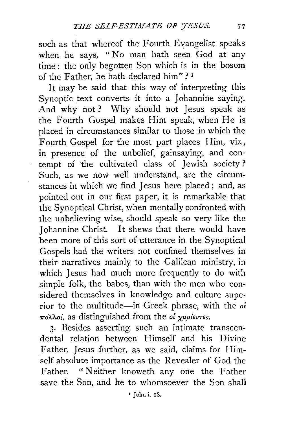such as that whereof the Fourth Evangelist speaks when he says, " No man hath seen God at any time : the only begotten Son which is in the bosom of the Father, he hath declared him"?  $1$ 

It may be said that this way of interpreting this Synoptic text converts it into a Johannine saying. And why not? Why should not Jesus speak as the Fourth Gospel makes Him speak, when He is placed in circumstances similar to those in which the Fourth Gospel for the most part places Him, viz., in presence of the unbelief, gainsaying, and contempt of the cultivated class of Jewish society? Such, as we now well understand, are the circumstances in which we find Jesus here placed; and, as pointed out in our first paper, it is remarkable that the Synoptical Christ, when mentally confronted with the unbelieving wise, should speak so very like the Johannine Christ. It shews that there would have been more of this sort of utterance in the Synoptical Gospels had the writers not confined themselves in their narratives mainly to the Galilean ministry, in which Jesus had much more frequently to do with simple folk, the babes, than with the men who considered themselves in knowledge and culture superior to the multitude-in Greek phrase, with the *oi*   $πολλο<sub>i</sub>$ , as distinguished from the oi χαρίεντες.

3· Besides asserting such an intimate transcendental relation between Himself and his Divine Father, Jesus further, as we said, claims for Himself absolute importance as the Revealer of God the Father. "Neither knoweth any one the Father save the Son, and he to whomsoever the Son shall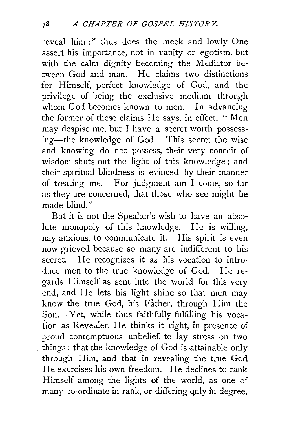reveal him :" thus does the meek and lowly One assert his importance, not in vanity or egotism, but with the calm dignity becoming the Mediator between God and man. He claims two distinctions for Himself, perfect knowledge of God, and the privilege of being the exclusive medium through whom God becomes known to men. In advancing the former of these claims He says, in effect, " Men may despise me, but I have a secret worth possessing-the knowledge of God. This secret the wise and knowing do not possess, their very conceit of wisdom shuts out the light of this knowledge; and their spiritual blindness is evinced by their manner of treating me. For judgment am I come, so far as they are concerned, that those who see might be made blind."

But it is not the Speaker's wish to have an absolute monopoly of this knowledge. He is willing, nay anxious, to communicate it. His spirit is even now grieved because so many are indifferent to his secret. He recognizes it as his vocation to introduce men to the true knowledge of God. He regards Himself as sent into the world for this very end, and He lets his light shine so that men may know the true God, his Father, through Him the Son. Yet, while thus faithfully fulfilling his vocation as Revealer, He thinks it right, in presence of proud contemptuous unbelief, to lay stress on two things: that the knowledge of God is attainable only through Him, and that in revealing the true God He exercises his own freedom. He declines to rank Himself among the lights of the world, as one of many co-ordinate in rank, or differing only in degree,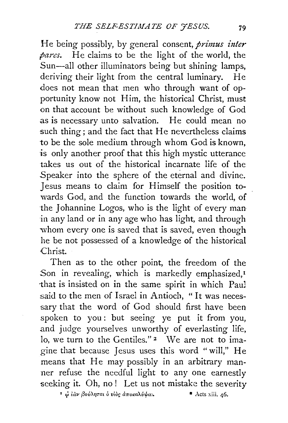He being possibly, by general consent, *primus inter pares.* He claims to be the light of the world, the Sun-all other illuminators being but shining lamps, deriving their light from the central luminary. He does not mean that men who through want of opportunity know not Him, the historical Christ, must on that account be without such knowledge of God as is necessary unto salvation. He could mean no such thing; and the fact that He nevertheless claims to be the sole medium through whom God is known, is only another proof that this high mystic utterance takes us out of the historical incarnate life of the Speaker into the sphere of the eternal and divine. Jesus means to claim for Himself the position towards God, and the function towards the world, of the Johannine Logos, who is the light of every man in any land or in any age who has light, and through whom every one is saved that is saved, even though he be not possessed of a knowledge of the historical Christ.

Then as to the other point, the freedom of the Son in revealing, which is markedly emphasized.<sup>1</sup> ·that is insisted on in the same spirit in which Pau) said to the men of Israel in Antioch, "It was necessary that the word of God should first have been spoken to you: but seeing ye put it from you, and judge yourselves unworthy of everlasting life, lo, we turn to the Gentiles."<sup>2</sup> We are not to imagine that because Jesus uses this word " will," He means that He may possibly in an arbitrary manner refuse the needful light to any one earnestly seeking it. Oh, no! Let us not mistake the severity

<sup>1</sup> φ ίαν βούληται ο υίος αποκαλύψα..

• Acts xiii. 46.